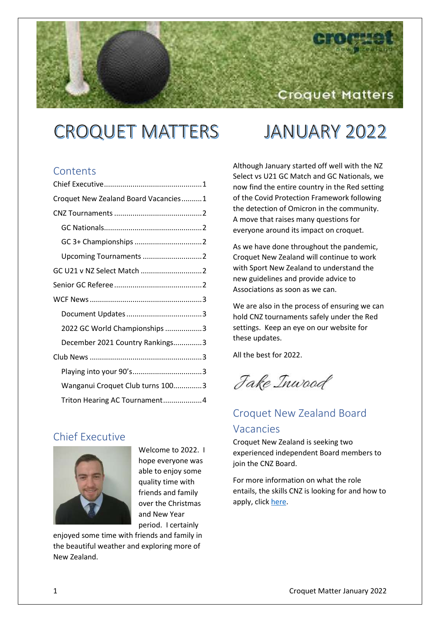# **CROQUET MATTERS**

# **JANUARY 2022**

Croquet Matters

# **Contents**

| Croquet New Zealand Board Vacancies1 |  |
|--------------------------------------|--|
|                                      |  |
|                                      |  |
|                                      |  |
| Upcoming Tournaments 2               |  |
| GC U21 v NZ Select Match 2           |  |
|                                      |  |
|                                      |  |
|                                      |  |
| 2022 GC World Championships 3        |  |
| December 2021 Country Rankings3      |  |
|                                      |  |
|                                      |  |
| Wanganui Croquet Club turns 1003     |  |
| Triton Hearing AC Tournament4        |  |

# <span id="page-0-0"></span>Chief Executive



Welcome to 2022. I hope everyone was able to enjoy some quality time with friends and family over the Christmas and New Year period. I certainly

enjoyed some time with friends and family in the beautiful weather and exploring more of New Zealand.

Although January started off well with the NZ Select vs U21 GC Match and GC Nationals, we now find the entire country in the Red setting of the Covid Protection Framework following the detection of Omicron in the community. A move that raises many questions for everyone around its impact on croquet.

As we have done throughout the pandemic, Croquet New Zealand will continue to work with Sport New Zealand to understand the new guidelines and provide advice to Associations as soon as we can.

We are also in the process of ensuring we can hold CNZ tournaments safely under the Red settings. Keep an eye on our website for these updates.

All the best for 2022.

Jake Inwood

# <span id="page-0-1"></span>Croquet New Zealand Board Vacancies

Croquet New Zealand is seeking two experienced independent Board members to join the CNZ Board.

For more information on what the role entails, the skills CNZ is looking for and how to apply, clic[k here.](https://croquet.org.nz/cnz-board-vacancies/)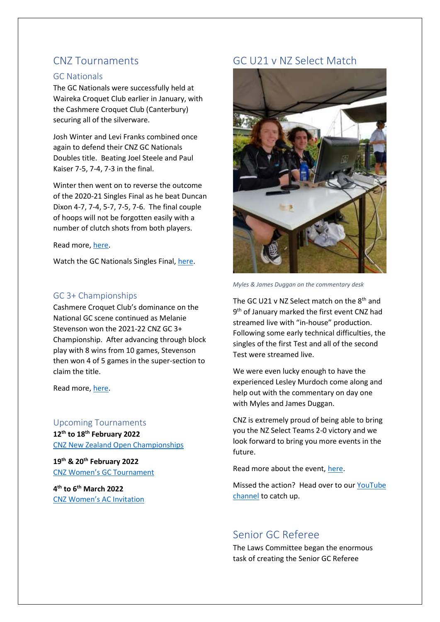# <span id="page-1-0"></span>CNZ Tournaments

#### <span id="page-1-1"></span>GC Nationals

The GC Nationals were successfully held at Waireka Croquet Club earlier in January, with the Cashmere Croquet Club (Canterbury) securing all of the silverware.

Josh Winter and Levi Franks combined once again to defend their CNZ GC Nationals Doubles title. Beating Joel Steele and Paul Kaiser 7-5, 7-4, 7-3 in the final.

Winter then went on to reverse the outcome of the 2020-21 Singles Final as he beat Duncan Dixon 4-7, 7-4, 5-7, 7-5, 7-6. The final couple of hoops will not be forgotten easily with a number of clutch shots from both players.

Read more, [here.](https://croquet.org.nz/winter-dominates-gc-nationals/)

Watch the GC Nationals Singles Final, [here.](https://www.youtube.com/watch?v=5O6tBcv1IVI)

## <span id="page-1-2"></span>GC 3+ Championships

Cashmere Croquet Club's dominance on the National GC scene continued as Melanie Stevenson won the 2021-22 CNZ GC 3+ Championship. After advancing through block play with 8 wins from 10 games, Stevenson then won 4 of 5 games in the super-section to claim the title.

Read more, [here.](https://croquet.org.nz/winter-dominates-gc-nationals/)

<span id="page-1-3"></span>Upcoming Tournaments **12th to 18th February 2022** [CNZ New Zealand Open Championships](https://croquet.org.nz/tournament/new-zealand-open/)

**19th & 20th February 2022** [CNZ Women's GC Tournament](https://croquet.org.nz/tournament/25-26-november-2017-womens-gc-tournament/)

**4 th to 6th March 2022** [CNZ Women's AC Invitation](https://croquet.org.nz/tournament/womens-ac-invitation/)

# <span id="page-1-4"></span>GC U21 v NZ Select Match



*Myles & James Duggan on the commentary desk*

The GC U21 v NZ Select match on the  $8<sup>th</sup>$  and 9 th of January marked the first event CNZ had streamed live with "in-house" production. Following some early technical difficulties, the singles of the first Test and all of the second Test were streamed live.

We were even lucky enough to have the experienced Lesley Murdoch come along and help out with the commentary on day one with Myles and James Duggan.

CNZ is extremely proud of being able to bring you the NZ Select Teams 2-0 victory and we look forward to bring you more events in the future.

Read more about the event[, here.](https://croquet.org.nz/nz-select-beat-nz-u21-2-0/)

Missed the action? Head over to our [YouTube](https://www.youtube.com/channel/UCV7k1gW3FQ3gamtHCmPDZZA)  [channel](https://www.youtube.com/channel/UCV7k1gW3FQ3gamtHCmPDZZA) to catch up.

# <span id="page-1-5"></span>Senior GC Referee

The Laws Committee began the enormous task of creating the Senior GC Referee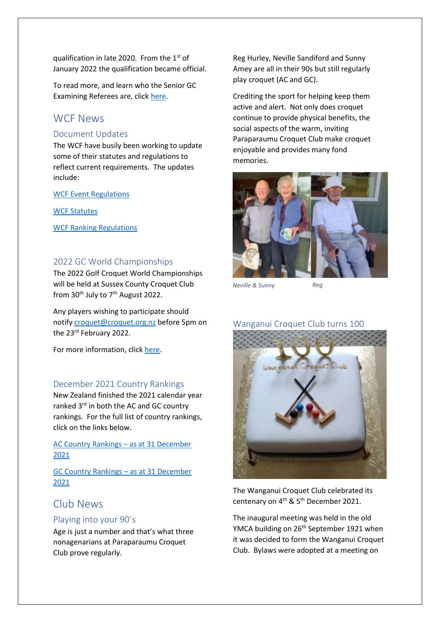qualification in late 2020. From the  $1<sup>st</sup>$  of January 2022 the qualification became official.

To read more, and learn who the Senior GC Examining Referees are, click [here.](https://croquet.org.nz/senior-gc-referee-qualification/)

## <span id="page-2-0"></span>WCF News

#### <span id="page-2-1"></span>Document Updates

The WCF have busily been working to update some of their statutes and regulations to reflect current requirements. The updates include:

[WCF Event Regulations](https://worldcroquet.org/wp-content/uploads/2022/01/WCFEventRegulations_v5.0.pdf)

[WCF Statutes](https://worldcroquet.org/wp-content/uploads/2022/01/WCFStatutes_v13.4.pdf)

[WCF Ranking Regulations](https://worldcroquet.org/update-to-wcf-ranking-regulations/)

#### <span id="page-2-2"></span>2022 GC World Championships

The 2022 Golf Croquet World Championships will be held at Sussex County Croquet Club from  $30<sup>th</sup>$  July to  $7<sup>th</sup>$  August 2022.

Any players wishing to participate should notif[y croquet@croquet.org.nz](mailto:croquet@croquet.org.nz) before 5pm on the 23rd February 2022.

For more information, click [here.](https://croquet.org.nz/2022-golf-croquet-world-championships/)

#### <span id="page-2-3"></span>December 2021 Country Rankings

New Zealand finished the 2021 calendar year ranked 3<sup>rd</sup> in both the AC and GC country rankings. For the full list of country rankings, click on the links below.

[AC Country Rankings](https://worldcroquet.org/ac-country-rankings-as-at-31st-december-2021/) – as at 31 December [2021](https://worldcroquet.org/ac-country-rankings-as-at-31st-december-2021/)

[GC Country Rankings](https://worldcroquet.org/gc-country-rankings-as-at-31-december-2021/) – as at 31 December [2021](https://worldcroquet.org/gc-country-rankings-as-at-31-december-2021/)

# <span id="page-2-4"></span>Club News

#### <span id="page-2-5"></span>Playing into your 90's

Age is just a number and that's what three nonagenarians at Paraparaumu Croquet Club prove regularly.

Reg Hurley, Neville Sandiford and Sunny Amey are all in their 90s but still regularly play croquet (AC and GC).

Crediting the sport for helping keep them active and alert. Not only does croquet continue to provide physical benefits, the social aspects of the warm, inviting Paraparaumu Croquet Club make croquet enjoyable and provides many fond memories.



*Neville & Sunny Reg*

#### <span id="page-2-6"></span>Wanganui Croquet Club turns 100



The Wanganui Croquet Club celebrated its centenary on 4<sup>th</sup> & 5<sup>th</sup> December 2021.

The inaugural meeting was held in the old YMCA building on 26<sup>th</sup> September 1921 when it was decided to form the Wanganui Croquet Club. Bylaws were adopted at a meeting on